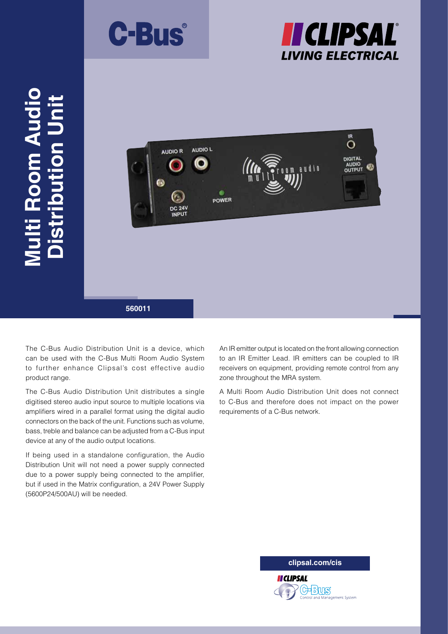





The C-Bus Audio Distribution Unit is a device, which can be used with the C-Bus Multi Room Audio System to further enhance Clipsal's cost effective audio product range.

The C-Bus Audio Distribution Unit distributes a single digitised stereo audio input source to multiple locations via amplifiers wired in a parallel format using the digital audio connectors on the back of the unit. Functions such as volume, bass, treble and balance can be adjusted from a C-Bus input device at any of the audio output locations.

If being used in a standalone configuration, the Audio Distribution Unit will not need a power supply connected due to a power supply being connected to the amplifier, but if used in the Matrix configuration, a 24V Power Supply (5600P24/500AU) will be needed.

An IR emitter output is located on the front allowing connection to an IR Emitter Lead. IR emitters can be coupled to IR receivers on equipment, providing remote control from any zone throughout the MRA system.

A Multi Room Audio Distribution Unit does not connect to C-Bus and therefore does not impact on the power requirements of a C-Bus network.

**clipsal.com/cis**